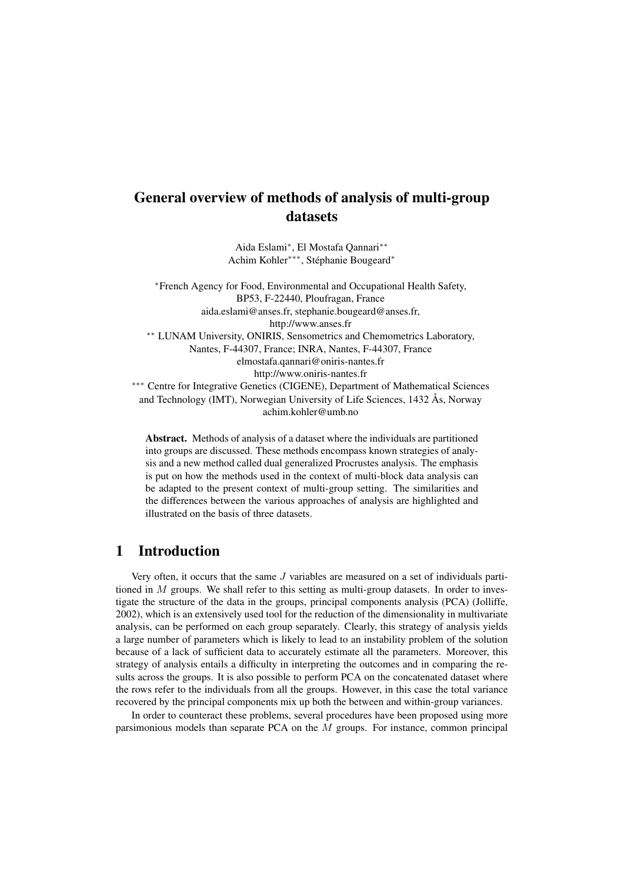Aida Eslami<sup>∗</sup> , El Mostafa Qannari∗∗ Achim Kohler∗∗∗, Stéphanie Bougeard<sup>∗</sup>

<sup>∗</sup>French Agency for Food, Environmental and Occupational Health Safety, BP53, F-22440, Ploufragan, France aida.eslami@anses.fr, stephanie.bougeard@anses.fr, http://www.anses.fr ∗∗ LUNAM University, ONIRIS, Sensometrics and Chemometrics Laboratory, Nantes, F-44307, France; INRA, Nantes, F-44307, France elmostafa.qannari@oniris-nantes.fr http://www.oniris-nantes.fr ∗∗∗ Centre for Integrative Genetics (CIGENE), Department of Mathematical Sciences

and Technology (IMT), Norwegian University of Life Sciences, 1432 Ås, Norway achim.kohler@umb.no

Abstract. Methods of analysis of a dataset where the individuals are partitioned into groups are discussed. These methods encompass known strategies of analysis and a new method called dual generalized Procrustes analysis. The emphasis is put on how the methods used in the context of multi-block data analysis can be adapted to the present context of multi-group setting. The similarities and the differences between the various approaches of analysis are highlighted and illustrated on the basis of three datasets.

## 1 Introduction

Very often, it occurs that the same J variables are measured on a set of individuals partitioned in  $M$  groups. We shall refer to this setting as multi-group datasets. In order to investigate the structure of the data in the groups, principal components analysis (PCA) (Jolliffe, 2002), which is an extensively used tool for the reduction of the dimensionality in multivariate analysis, can be performed on each group separately. Clearly, this strategy of analysis yields a large number of parameters which is likely to lead to an instability problem of the solution because of a lack of sufficient data to accurately estimate all the parameters. Moreover, this strategy of analysis entails a difficulty in interpreting the outcomes and in comparing the results across the groups. It is also possible to perform PCA on the concatenated dataset where the rows refer to the individuals from all the groups. However, in this case the total variance recovered by the principal components mix up both the between and within-group variances.

In order to counteract these problems, several procedures have been proposed using more parsimonious models than separate PCA on the  $M$  groups. For instance, common principal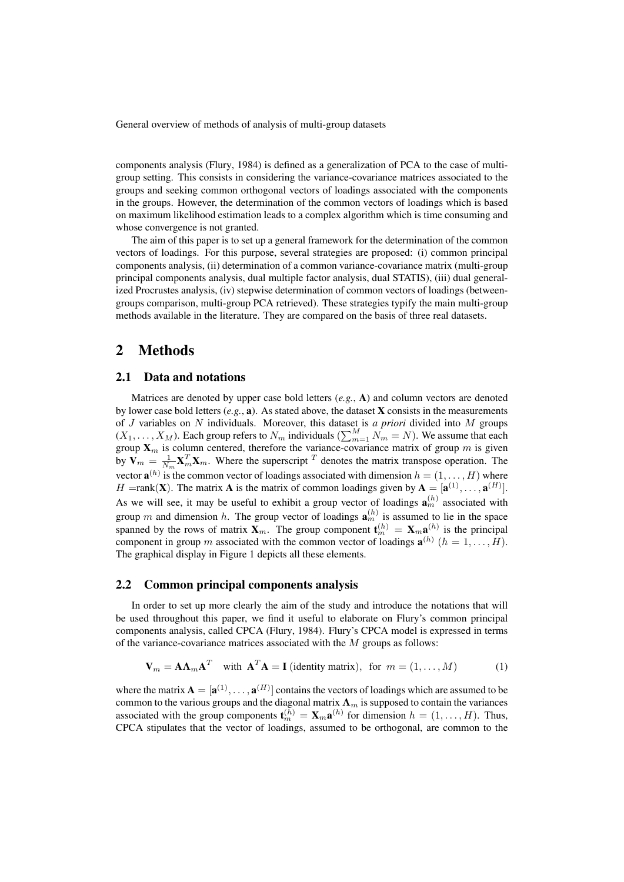components analysis (Flury, 1984) is defined as a generalization of PCA to the case of multigroup setting. This consists in considering the variance-covariance matrices associated to the groups and seeking common orthogonal vectors of loadings associated with the components in the groups. However, the determination of the common vectors of loadings which is based on maximum likelihood estimation leads to a complex algorithm which is time consuming and whose convergence is not granted.

The aim of this paper is to set up a general framework for the determination of the common vectors of loadings. For this purpose, several strategies are proposed: (i) common principal components analysis, (ii) determination of a common variance-covariance matrix (multi-group principal components analysis, dual multiple factor analysis, dual STATIS), (iii) dual generalized Procrustes analysis, (iv) stepwise determination of common vectors of loadings (betweengroups comparison, multi-group PCA retrieved). These strategies typify the main multi-group methods available in the literature. They are compared on the basis of three real datasets.

## 2 Methods

## 2.1 Data and notations

Matrices are denoted by upper case bold letters (*e.g.*, A) and column vectors are denoted by lower case bold letters  $(e.g., a)$ . As stated above, the dataset **X** consists in the measurements of J variables on N individuals. Moreover, this dataset is *a priori* divided into M groups  $(X_1, \ldots, X_M)$ . Each group refers to  $N_m$  individuals  $(\sum_{m=1}^M \tilde{N_m} = N)$ . We assume that each group  $\mathbf{X}_m$  is column centered, therefore the variance-covariance matrix of group m is given by  $V_m = \frac{1}{N_m} X_m^T X_m$ . Where the superscript T denotes the matrix transpose operation. The vector  $\mathbf{a}^{(h)}$  is the common vector of loadings associated with dimension  $h = (1, \dots, H)$  where H = rank(**X**). The matrix **A** is the matrix of common loadings given by  $A = [a^{(1)}, \dots, a^{(H)}]$ . As we will see, it may be useful to exhibit a group vector of loadings  $\mathbf{a}_m^{(h)}$  associated with group m and dimension h. The group vector of loadings  $\mathbf{a}_m^{(h)}$  is assumed to lie in the space spanned by the rows of matrix  $X_m$ . The group component  $\mathbf{t}_m^{(h)} = X_m \mathbf{a}_m^{(h)}$  is the principal component in group m associated with the common vector of loadings  $\mathbf{a}^{(h)}$   $(h = 1, \ldots, H)$ . The graphical display in Figure 1 depicts all these elements.

## 2.2 Common principal components analysis

In order to set up more clearly the aim of the study and introduce the notations that will be used throughout this paper, we find it useful to elaborate on Flury's common principal components analysis, called CPCA (Flury, 1984). Flury's CPCA model is expressed in terms of the variance-covariance matrices associated with the M groups as follows:

$$
\mathbf{V}_m = \mathbf{A}\mathbf{\Lambda}_m \mathbf{A}^T \quad \text{with } \mathbf{A}^T \mathbf{A} = \mathbf{I} \text{ (identity matrix)}, \text{ for } m = (1, \dots, M) \tag{1}
$$

where the matrix  $\mathbf{A} = [\mathbf{a}^{(1)}, \dots, \mathbf{a}^{(H)}]$  contains the vectors of loadings which are assumed to be common to the various groups and the diagonal matrix  $\Lambda_m$  is supposed to contain the variances associated with the group components  $\mathbf{t}_m^{(h)} = \mathbf{X}_m \mathbf{a}^{(h)}$  for dimension  $h = (1, \dots, H)$ . Thus, CPCA stipulates that the vector of loadings, assumed to be orthogonal, are common to the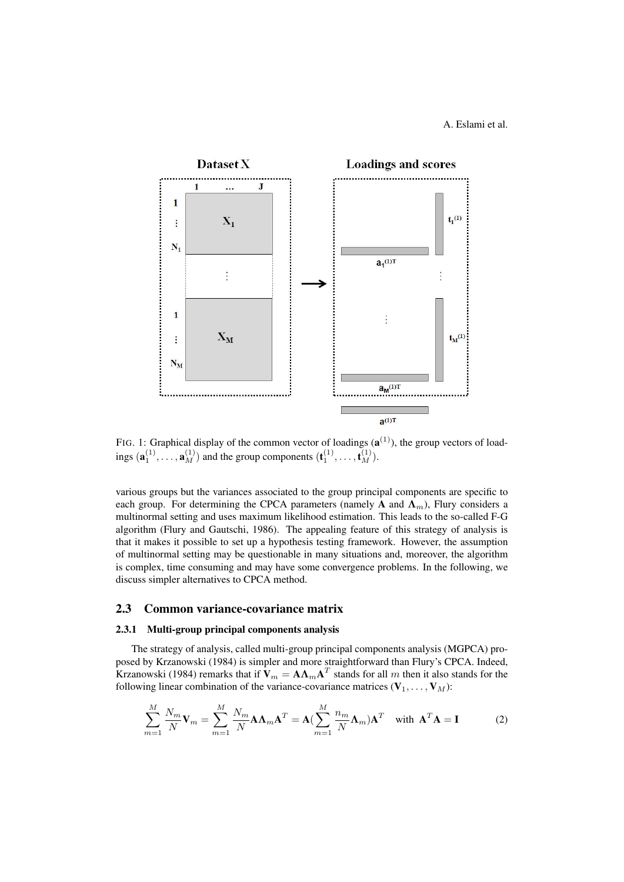## A. Eslami et al.



FIG. 1: Graphical display of the common vector of loadings  $(a^{(1)})$ , the group vectors of loadings  $(\mathbf{a}_1^{(1)}, \dots, \mathbf{a}_M^{(1)})$  and the group components  $(\mathbf{t}_1^{(1)}, \dots, \mathbf{t}_M^{(1)})$ .

various groups but the variances associated to the group principal components are specific to each group. For determining the CPCA parameters (namely A and  $\Lambda_m$ ), Flury considers a multinormal setting and uses maximum likelihood estimation. This leads to the so-called F-G algorithm (Flury and Gautschi, 1986). The appealing feature of this strategy of analysis is that it makes it possible to set up a hypothesis testing framework. However, the assumption of multinormal setting may be questionable in many situations and, moreover, the algorithm is complex, time consuming and may have some convergence problems. In the following, we discuss simpler alternatives to CPCA method.

### 2.3 Common variance-covariance matrix

## 2.3.1 Multi-group principal components analysis

The strategy of analysis, called multi-group principal components analysis (MGPCA) proposed by Krzanowski (1984) is simpler and more straightforward than Flury's CPCA. Indeed, Krzanowski (1984) remarks that if  $V_m = A \Lambda_m A^T$  stands for all m then it also stands for the following linear combination of the variance-covariance matrices  $(\mathbf{V}_1, \dots, \mathbf{V}_M)$ :

$$
\sum_{m=1}^{M} \frac{N_m}{N} \mathbf{V}_m = \sum_{m=1}^{M} \frac{N_m}{N} \mathbf{A} \mathbf{\Lambda}_m \mathbf{A}^T = \mathbf{A} \left( \sum_{m=1}^{M} \frac{n_m}{N} \mathbf{\Lambda}_m \right) \mathbf{A}^T \quad \text{with } \mathbf{A}^T \mathbf{A} = \mathbf{I}
$$
 (2)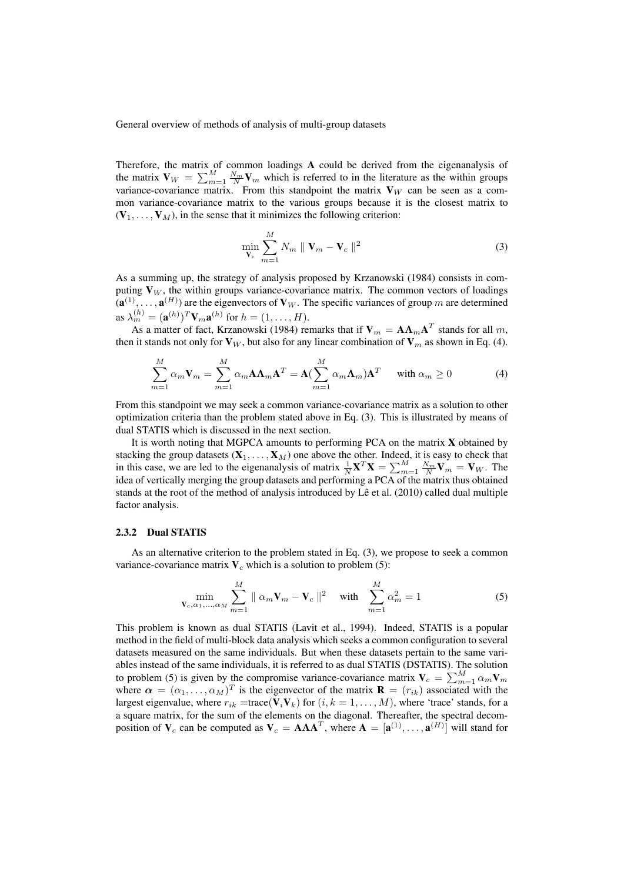Therefore, the matrix of common loadings  $A$  could be derived from the eigenanalysis of the matrix  $\mathbf{V}_W = \sum_{m=1}^M \frac{N_m}{N} \mathbf{V}_m$  which is referred to in the literature as the within groups variance-covariance matrix. From this standpoint the matrix  $V_W$  can be seen as a common variance-covariance matrix to the various groups because it is the closest matrix to  $(V_1, \ldots, V_M)$ , in the sense that it minimizes the following criterion:

$$
\min_{\mathbf{V}_c} \sum_{m=1}^M N_m \parallel \mathbf{V}_m - \mathbf{V}_c \parallel^2
$$
 (3)

As a summing up, the strategy of analysis proposed by Krzanowski (1984) consists in computing  $V_W$ , the within groups variance-covariance matrix. The common vectors of loadings  $({\bf a}^{(1)}, \dots, {\bf a}^{(H)})$  are the eigenvectors of  ${\bf V}_W$ . The specific variances of group m are determined as  $\lambda_m^{(h)} = (\mathbf{a}^{(h)})^T \mathbf{V}_m \mathbf{a}^{(h)}$  for  $h = (1, \dots, H)$ .

As a matter of fact, Krzanowski (1984) remarks that if  $\mathbf{V}_m = \mathbf{A}\mathbf{\Lambda}_m\mathbf{A}^T$  stands for all  $m$ , then it stands not only for  $V_W$ , but also for any linear combination of  $V_m$  as shown in Eq. (4).

$$
\sum_{m=1}^{M} \alpha_m \mathbf{V}_m = \sum_{m=1}^{M} \alpha_m \mathbf{A} \mathbf{\Lambda}_m \mathbf{A}^T = \mathbf{A} (\sum_{m=1}^{M} \alpha_m \mathbf{\Lambda}_m) \mathbf{A}^T \quad \text{with } \alpha_m \ge 0 \tag{4}
$$

From this standpoint we may seek a common variance-covariance matrix as a solution to other optimization criteria than the problem stated above in Eq. (3). This is illustrated by means of dual STATIS which is discussed in the next section.

It is worth noting that MGPCA amounts to performing PCA on the matrix X obtained by stacking the group datasets  $(X_1, \ldots, X_M)$  one above the other. Indeed, it is easy to check that in this case, we are led to the eigenanalysis of matrix  $\frac{1}{N} \mathbf{X}^T \mathbf{X} = \sum_{m=1}^M \frac{N_m}{N} \mathbf{V}_m = \mathbf{V}_W$ . The idea of vertically merging the group datasets and performing a PCA of the matrix thus obtained stands at the root of the method of analysis introduced by Lê et al. (2010) called dual multiple factor analysis.

#### 2.3.2 Dual STATIS

As an alternative criterion to the problem stated in Eq. (3), we propose to seek a common variance-covariance matrix  $V_c$  which is a solution to problem (5):

$$
\min_{\mathbf{V}_c, \alpha_1, ..., \alpha_M} \sum_{m=1}^{M} \| \alpha_m \mathbf{V}_m - \mathbf{V}_c \|^2 \quad \text{with} \quad \sum_{m=1}^{M} \alpha_m^2 = 1 \tag{5}
$$

This problem is known as dual STATIS (Lavit et al., 1994). Indeed, STATIS is a popular method in the field of multi-block data analysis which seeks a common configuration to several datasets measured on the same individuals. But when these datasets pertain to the same variables instead of the same individuals, it is referred to as dual STATIS (DSTATIS). The solution to problem (5) is given by the compromise variance-covariance matrix  $V_c = \sum_{m=1}^{M} \alpha_m V_m$ where  $\alpha = (\alpha_1, \dots, \alpha_M)^T$  is the eigenvector of the matrix  $\mathbf{R} = (r_{ik})$  associated with the largest eigenvalue, where  $r_{ik} = \text{trace}(\mathbf{V}_i \mathbf{V}_k)$  for  $(i, k = 1, ..., M)$ , where 'trace' stands, for a a square matrix, for the sum of the elements on the diagonal. Thereafter, the spectral decomposition of  $V_c$  can be computed as  $V_c = A\Lambda A^T$ , where  $A = [a^{(1)}, \dots, a^{(H)}]$  will stand for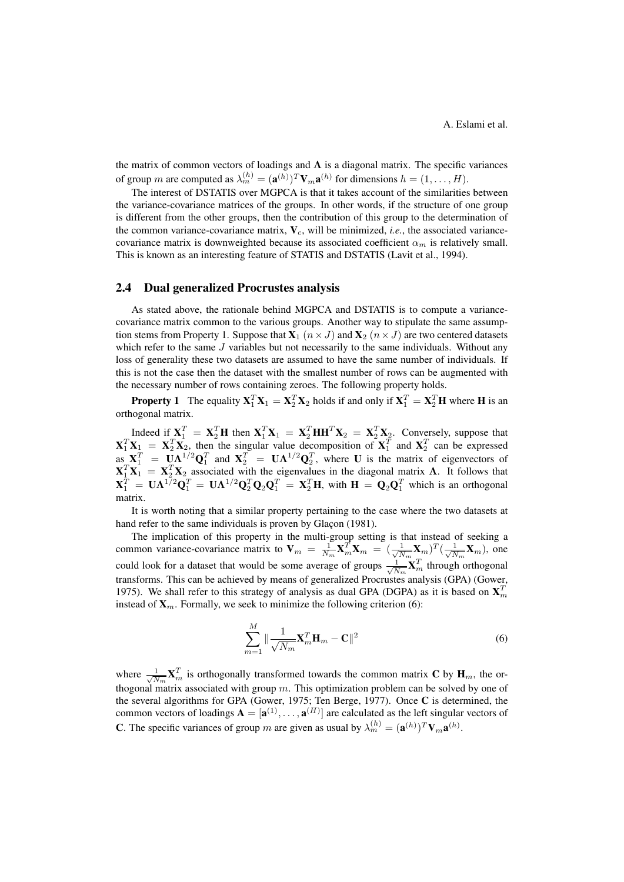the matrix of common vectors of loadings and  $\Lambda$  is a diagonal matrix. The specific variances of group m are computed as  $\lambda_m^{(h)} = (\mathbf{a}^{(h)})^T \mathbf{V}_{m} \mathbf{a}^{(h)}$  for dimensions  $h = (1, \dots, H)$ .

The interest of DSTATIS over MGPCA is that it takes account of the similarities between the variance-covariance matrices of the groups. In other words, if the structure of one group is different from the other groups, then the contribution of this group to the determination of the common variance-covariance matrix,  $V_c$ , will be minimized, *i.e.*, the associated variancecovariance matrix is downweighted because its associated coefficient  $\alpha_m$  is relatively small. This is known as an interesting feature of STATIS and DSTATIS (Lavit et al., 1994).

### 2.4 Dual generalized Procrustes analysis

As stated above, the rationale behind MGPCA and DSTATIS is to compute a variancecovariance matrix common to the various groups. Another way to stipulate the same assumption stems from Property 1. Suppose that  $X_1$   $(n \times J)$  and  $X_2$   $(n \times J)$  are two centered datasets which refer to the same  $J$  variables but not necessarily to the same individuals. Without any loss of generality these two datasets are assumed to have the same number of individuals. If this is not the case then the dataset with the smallest number of rows can be augmented with the necessary number of rows containing zeroes. The following property holds.

**Property 1** The equality  $X_1^T X_1 = X_2^T X_2$  holds if and only if  $X_1^T = X_2^T H$  where H is an orthogonal matrix.

Indeed if  $\mathbf{X}_1^T = \mathbf{X}_2^T \mathbf{H}$  then  $\mathbf{X}_1^T \mathbf{X}_1 = \mathbf{X}_2^T \mathbf{H} \mathbf{H}^T \mathbf{X}_2 = \mathbf{X}_2^T \mathbf{X}_2$ . Conversely, suppose that  $X_1^T X_1 = X_2^T X_2$ , then the singular value decomposition of  $X_1^T$  and  $X_2^T$  can be expressed as  $X_1^T = \mathbf{U} \Lambda^{1/2} \mathbf{Q}_1^T$  and  $X_2^T = \mathbf{U} \Lambda^{1/2} \mathbf{Q}_2^T$ , where U is the matrix of eigenvectors of  $X_1^T X_1 = X_2^T X_2$  associated with the eigenvalues in the diagonal matrix  $\Lambda$ . It follows that  $X_1^T = U \Lambda^{1/2} Q_1^T = U \Lambda^{1/2} Q_2^T Q_2 Q_1^T = X_2^T H$ , with  $H = Q_2 Q_1^T$  which is an orthogonal matrix.

It is worth noting that a similar property pertaining to the case where the two datasets at hand refer to the same individuals is proven by Glaçon (1981).

The implication of this property in the multi-group setting is that instead of seeking a common variance-covariance matrix to  $V_m = \frac{1}{N_m} X_m^T X_m = (\frac{1}{\sqrt{N_m}})$  $\frac{1}{N_m}\mathbf{X}_m$ ) $^T(\frac{1}{\sqrt{N}})$  $\frac{1}{N_m}\mathbf{X}_m$ ), one could look for a dataset that would be some average of groups  $\frac{1}{\sqrt{\lambda}}$  $\frac{1}{N_m}\mathbf{X}_m^T$  through orthogonal transforms. This can be achieved by means of generalized Procrustes analysis (GPA) (Gower, 1975). We shall refer to this strategy of analysis as dual GPA (DGPA) as it is based on  $X_m^T$ instead of  $X_m$ . Formally, we seek to minimize the following criterion (6):

$$
\sum_{m=1}^{M} \|\frac{1}{\sqrt{N_m}} \mathbf{X}_m^T \mathbf{H}_m - \mathbf{C}\|^2
$$
\n(6)

where  $\frac{1}{\sqrt{\Lambda}}$  $\frac{1}{N_m}$ **X**<sub>m</sub><sup>T</sup> is orthogonally transformed towards the common matrix **C** by **H**<sub>m</sub>, the orthogonal matrix associated with group  $m$ . This optimization problem can be solved by one of the several algorithms for GPA (Gower, 1975; Ten Berge, 1977). Once C is determined, the common vectors of loadings  $A = [a^{(1)}, \dots, a^{(H)}]$  are calculated as the left singular vectors of **C**. The specific variances of group m are given as usual by  $\lambda_m^{(h)} = (\mathbf{a}^{(h)})^T \mathbf{V}_m \mathbf{a}^{(h)}$ .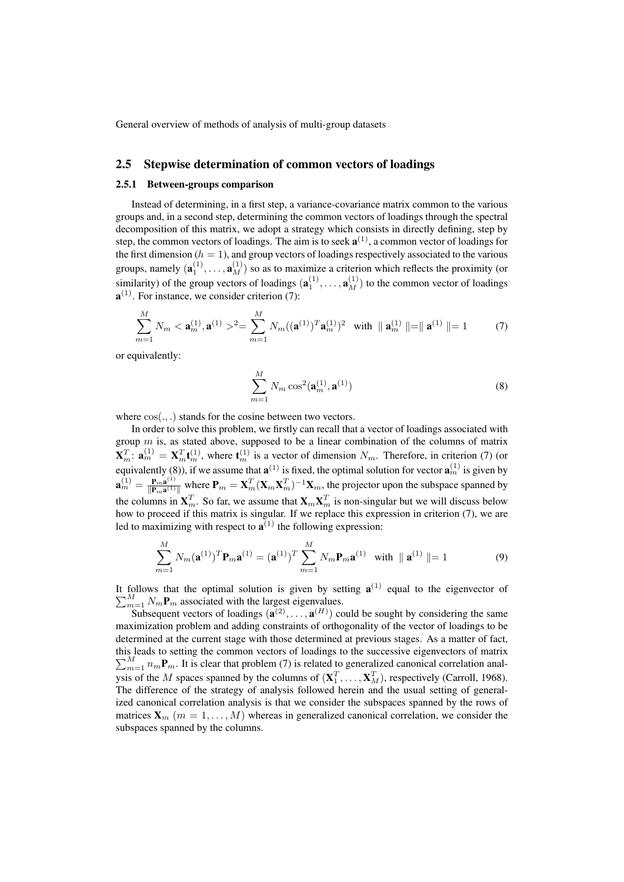## 2.5 Stepwise determination of common vectors of loadings

#### 2.5.1 Between-groups comparison

Instead of determining, in a first step, a variance-covariance matrix common to the various groups and, in a second step, determining the common vectors of loadings through the spectral decomposition of this matrix, we adopt a strategy which consists in directly defining, step by step, the common vectors of loadings. The aim is to seek  $\mathbf{a}^{(1)}$ , a common vector of loadings for the first dimension ( $h = 1$ ), and group vectors of loadings respectively associated to the various groups, namely  $(\mathbf{a}_1^{(1)}, \dots, \mathbf{a}_M^{(1)})$  so as to maximize a criterion which reflects the proximity (or similarity) of the group vectors of loadings  $(\mathbf{a}_1^{(1)},...,\mathbf{a}_M^{(1)})$  to the common vector of loadings  $\mathbf{a}^{(1)}$ . For instance, we consider criterion (7):

$$
\sum_{m=1}^{M} N_m < \mathbf{a}_m^{(1)}, \mathbf{a}^{(1)} >^2 = \sum_{m=1}^{M} N_m((\mathbf{a}^{(1)})^T \mathbf{a}_m^{(1)})^2 \quad \text{with} \quad \|\mathbf{a}_m^{(1)}\| = \|\mathbf{a}^{(1)}\| = 1 \tag{7}
$$

or equivalently:

$$
\sum_{m=1}^{M} N_m \cos^2(\mathbf{a}_m^{(1)}, \mathbf{a}^{(1)})
$$
\n(8)

where  $cos(.,.)$  stands for the cosine between two vectors.

In order to solve this problem, we firstly can recall that a vector of loadings associated with group  $m$  is, as stated above, supposed to be a linear combination of the columns of matrix  $\mathbf{X}_m^T \colon \mathbf{a}_m^{(1)} = \mathbf{X}_m^T \mathbf{t}_m^{(1)}$ , where  $\mathbf{t}_m^{(1)}$  is a vector of dimension  $N_m$ . Therefore, in criterion (7) (or equivalently (8)), if we assume that  $\mathbf{a}^{(1)}$  is fixed, the optimal solution for vector  $\mathbf{a}_m^{(1)}$  is given by  $\mathbf{a}_m^{(1)}=\frac{\mathbf{p}_m\mathbf{a}^{(1)}}{\mathbf{\Vert p}_{\mathbf{a}^{(1)}}}$  $\frac{\mathbf{P}_{m}\mathbf{a}^{(1)}}{\|\mathbf{P}_{m}\mathbf{a}^{(1)}\|}$  where  $\mathbf{P}_{m} = \mathbf{X}_{m}^{T}(\mathbf{X}_{m}\mathbf{X}_{m}^{T})^{-1}\mathbf{X}_{m}$ , the projector upon the subspace spanned by the columns in  $X_m^T$ . So far, we assume that  $X_m X_m^T$  is non-singular but we will discuss below how to proceed if this matrix is singular. If we replace this expression in criterion (7), we are led to maximizing with respect to  $\mathbf{a}^{(1)}$  the following expression:

$$
\sum_{m=1}^{M} N_m(\mathbf{a}^{(1)})^T \mathbf{P}_m \mathbf{a}^{(1)} = (\mathbf{a}^{(1)})^T \sum_{m=1}^{M} N_m \mathbf{P}_m \mathbf{a}^{(1)} \text{ with } ||\mathbf{a}^{(1)}|| = 1
$$
 (9)

It follows that the optimal solution is given by setting  $a^{(1)}$  equal to the eigenvector of  $\sum_{m=1}^{M} N_m \mathbf{P}_m$  associated with the largest eigenvalues.

Subsequent vectors of loadings  $(\mathbf{a}^{(2)}, \dots, \mathbf{a}^{(H)})$  could be sought by considering the same maximization problem and adding constraints of orthogonality of the vector of loadings to be determined at the current stage with those determined at previous stages. As a matter of fact, this leads to setting the common vectors of loadings to the successive eigenvectors of matrix  $\sum_{m=1}^{M} n_m \mathbf{P}_m$ . It is clear that problem (7) is related to generalized canonical correlation analysis of the M spaces spanned by the columns of  $(\mathbf{X}_1^T, \dots, \mathbf{X}_M^T)$ , respectively (Carroll, 1968). The difference of the strategy of analysis followed herein and the usual setting of generalized canonical correlation analysis is that we consider the subspaces spanned by the rows of matrices  $X_m$  ( $m = 1, ..., M$ ) whereas in generalized canonical correlation, we consider the subspaces spanned by the columns.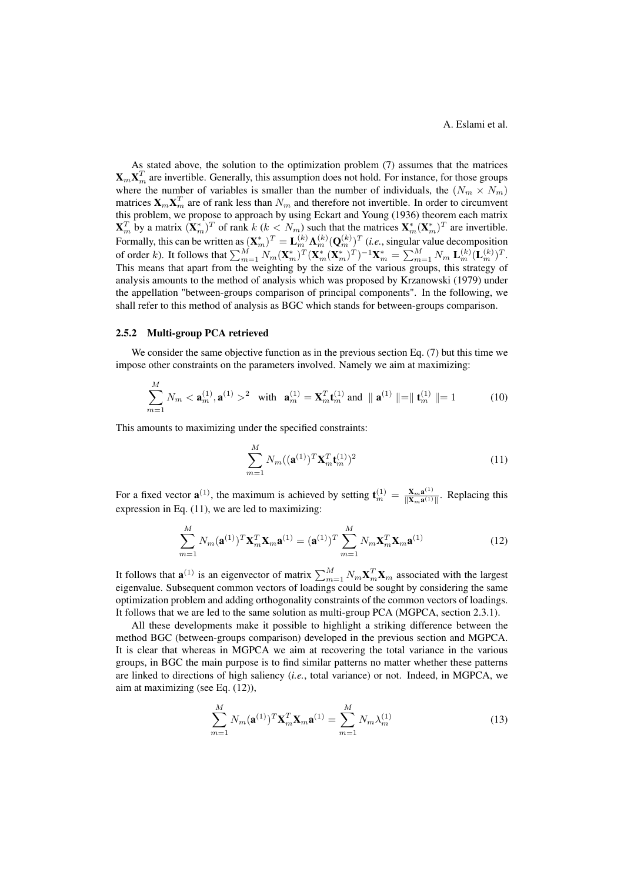As stated above, the solution to the optimization problem (7) assumes that the matrices  $\mathbf{X}_m \mathbf{X}_m^T$  are invertible. Generally, this assumption does not hold. For instance, for those groups where the number of variables is smaller than the number of individuals, the  $(N_m \times N_m)$ matrices  $\mathbf{X}_m \mathbf{X}_m^T$  are of rank less than  $N_m$  and therefore not invertible. In order to circumvent this problem, we propose to approach by using Eckart and Young (1936) theorem each matrix  $\mathbf{X}_m^T$  by a matrix  $(\mathbf{X}_m^*)^T$  of rank  $k$   $(k < N_m)$  such that the matrices  $\mathbf{X}_m^*(\mathbf{X}_m^*)^T$  are invertible. Formally, this can be written as  $(X_m^*)^T = L_m^{(k)} \Lambda_m^{(k)} (\mathbf{Q}_m^{(k)})^T$  (*i.e.*, singular value decomposition of order k). It follows that  $\sum_{m=1}^{M} N_m (\mathbf{X}_m^*)^T (\mathbf{X}_m^* (\mathbf{X}_m^*)^T)^{-1} \mathbf{X}_m^* = \sum_{m=1}^{M} N_m \mathbf{L}_m^{(k)} (\mathbf{L}_m^{(k)})^T$ . This means that apart from the weighting by the size of the various groups, this strategy of analysis amounts to the method of analysis which was proposed by Krzanowski (1979) under the appellation "between-groups comparison of principal components". In the following, we shall refer to this method of analysis as BGC which stands for between-groups comparison.

#### 2.5.2 Multi-group PCA retrieved

We consider the same objective function as in the previous section Eq. (7) but this time we impose other constraints on the parameters involved. Namely we aim at maximizing:

$$
\sum_{m=1}^{M} N_m < \mathbf{a}_m^{(1)}, \mathbf{a}^{(1)} >^2 \quad \text{with} \quad \mathbf{a}_m^{(1)} = \mathbf{X}_m^T \mathbf{t}_m^{(1)} \text{ and } \parallel \mathbf{a}^{(1)} \parallel = \parallel \mathbf{t}_m^{(1)} \parallel = 1 \tag{10}
$$

This amounts to maximizing under the specified constraints:

$$
\sum_{m=1}^{M} N_m((\mathbf{a}^{(1)})^T \mathbf{X}_m^T \mathbf{t}_m^{(1)})^2
$$
 (11)

For a fixed vector  $\mathbf{a}^{(1)}$ , the maximum is achieved by setting  $\mathbf{t}_m^{(1)} = \frac{\mathbf{X}_m \mathbf{a}^{(1)}}{\|\mathbf{X}_m \mathbf{a}^{(1)}\|}$  $\frac{\mathbf{X}_{m}\mathbf{a}^{(-)} }{\|\mathbf{X}_{m}\mathbf{a}^{(1)}\|}$ . Replacing this expression in Eq. (11), we are led to maximizing:

$$
\sum_{m=1}^{M} N_m(\mathbf{a}^{(1)})^T \mathbf{X}_m^T \mathbf{X}_m \mathbf{a}^{(1)} = (\mathbf{a}^{(1)})^T \sum_{m=1}^{M} N_m \mathbf{X}_m^T \mathbf{X}_m \mathbf{a}^{(1)}
$$
(12)

It follows that  $\mathbf{a}^{(1)}$  is an eigenvector of matrix  $\sum_{m=1}^{M} N_m \mathbf{X}_m^T \mathbf{X}_m$  associated with the largest eigenvalue. Subsequent common vectors of loadings could be sought by considering the same optimization problem and adding orthogonality constraints of the common vectors of loadings. It follows that we are led to the same solution as multi-group PCA (MGPCA, section 2.3.1).

All these developments make it possible to highlight a striking difference between the method BGC (between-groups comparison) developed in the previous section and MGPCA. It is clear that whereas in MGPCA we aim at recovering the total variance in the various groups, in BGC the main purpose is to find similar patterns no matter whether these patterns are linked to directions of high saliency (*i.e.*, total variance) or not. Indeed, in MGPCA, we aim at maximizing (see Eq. (12)),

$$
\sum_{m=1}^{M} N_m(\mathbf{a}^{(1)})^T \mathbf{X}_m^T \mathbf{X}_m \mathbf{a}^{(1)} = \sum_{m=1}^{M} N_m \lambda_m^{(1)}
$$
(13)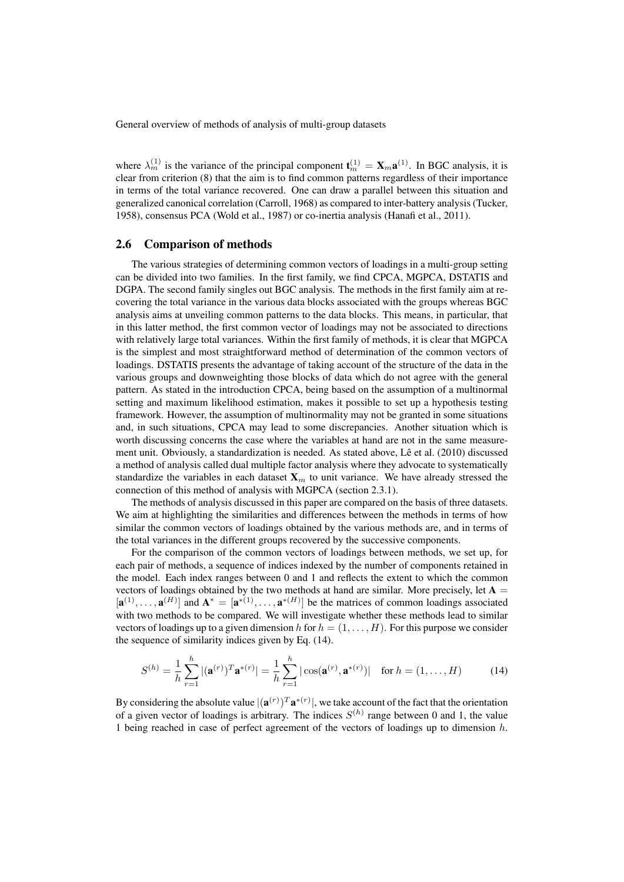where  $\lambda_m^{(1)}$  is the variance of the principal component  $\mathbf{t}_m^{(1)} = \mathbf{X}_m \mathbf{a}^{(1)}$ . In BGC analysis, it is clear from criterion (8) that the aim is to find common patterns regardless of their importance in terms of the total variance recovered. One can draw a parallel between this situation and generalized canonical correlation (Carroll, 1968) as compared to inter-battery analysis (Tucker, 1958), consensus PCA (Wold et al., 1987) or co-inertia analysis (Hanafi et al., 2011).

### 2.6 Comparison of methods

The various strategies of determining common vectors of loadings in a multi-group setting can be divided into two families. In the first family, we find CPCA, MGPCA, DSTATIS and DGPA. The second family singles out BGC analysis. The methods in the first family aim at recovering the total variance in the various data blocks associated with the groups whereas BGC analysis aims at unveiling common patterns to the data blocks. This means, in particular, that in this latter method, the first common vector of loadings may not be associated to directions with relatively large total variances. Within the first family of methods, it is clear that MGPCA is the simplest and most straightforward method of determination of the common vectors of loadings. DSTATIS presents the advantage of taking account of the structure of the data in the various groups and downweighting those blocks of data which do not agree with the general pattern. As stated in the introduction CPCA, being based on the assumption of a multinormal setting and maximum likelihood estimation, makes it possible to set up a hypothesis testing framework. However, the assumption of multinormality may not be granted in some situations and, in such situations, CPCA may lead to some discrepancies. Another situation which is worth discussing concerns the case where the variables at hand are not in the same measurement unit. Obviously, a standardization is needed. As stated above, Lê et al. (2010) discussed a method of analysis called dual multiple factor analysis where they advocate to systematically standardize the variables in each dataset  $X_m$  to unit variance. We have already stressed the connection of this method of analysis with MGPCA (section 2.3.1).

The methods of analysis discussed in this paper are compared on the basis of three datasets. We aim at highlighting the similarities and differences between the methods in terms of how similar the common vectors of loadings obtained by the various methods are, and in terms of the total variances in the different groups recovered by the successive components.

For the comparison of the common vectors of loadings between methods, we set up, for each pair of methods, a sequence of indices indexed by the number of components retained in the model. Each index ranges between 0 and 1 and reflects the extent to which the common vectors of loadings obtained by the two methods at hand are similar. More precisely, let  $A =$  $[\mathbf{a}^{(1)},\ldots,\mathbf{a}^{(H)}]$  and  $\mathbf{A}^*=[\mathbf{a}^{*(1)},\ldots,\mathbf{a}^{*(H)}]$  be the matrices of common loadings associated with two methods to be compared. We will investigate whether these methods lead to similar vectors of loadings up to a given dimension h for  $h = (1, \ldots, H)$ . For this purpose we consider the sequence of similarity indices given by Eq. (14).

$$
S^{(h)} = \frac{1}{h} \sum_{r=1}^{h} |(\mathbf{a}^{(r)})^T \mathbf{a}^{*(r)}| = \frac{1}{h} \sum_{r=1}^{h} |\cos(\mathbf{a}^{(r)}, \mathbf{a}^{*(r)})| \text{ for } h = (1, ..., H)
$$
 (14)

By considering the absolute value  $|({\bf a}^{(r)})^T{\bf a}^{*(r)}|$ , we take account of the fact that the orientation of a given vector of loadings is arbitrary. The indices  $S^{(h)}$  range between 0 and 1, the value 1 being reached in case of perfect agreement of the vectors of loadings up to dimension  $h$ .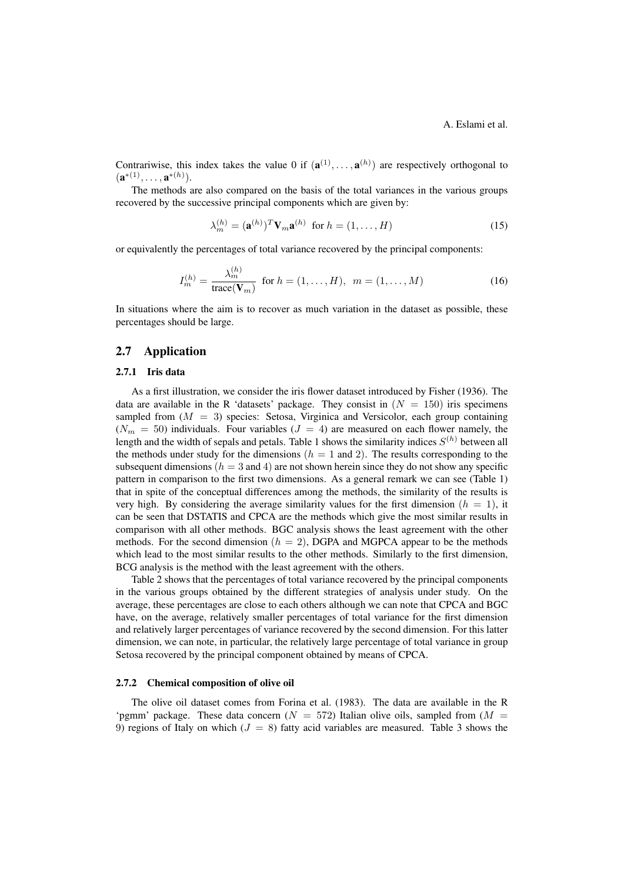Contrariwise, this index takes the value 0 if  $(\mathbf{a}^{(1)},...,\mathbf{a}^{(h)})$  are respectively orthogonal to  $({\bf a}^{*(1)},\ldots,{\bf a}^{*(h)}).$ 

The methods are also compared on the basis of the total variances in the various groups recovered by the successive principal components which are given by:

$$
\lambda_m^{(h)} = (\mathbf{a}^{(h)})^T \mathbf{V}_m \mathbf{a}^{(h)} \text{ for } h = (1, \dots, H)
$$
 (15)

or equivalently the percentages of total variance recovered by the principal components:

$$
I_m^{(h)} = \frac{\lambda_m^{(h)}}{\text{trace}(\mathbf{V}_m)} \text{ for } h = (1, \dots, H), \ m = (1, \dots, M)
$$
 (16)

In situations where the aim is to recover as much variation in the dataset as possible, these percentages should be large.

## 2.7 Application

### 2.7.1 Iris data

As a first illustration, we consider the iris flower dataset introduced by Fisher (1936). The data are available in the R 'datasets' package. They consist in  $(N = 150)$  iris specimens sampled from  $(M = 3)$  species: Setosa, Virginica and Versicolor, each group containing  $(N_m = 50)$  individuals. Four variables  $(J = 4)$  are measured on each flower namely, the length and the width of sepals and petals. Table 1 shows the similarity indices  $S^{(h)}$  between all the methods under study for the dimensions ( $h = 1$  and 2). The results corresponding to the subsequent dimensions ( $h = 3$  and 4) are not shown herein since they do not show any specific pattern in comparison to the first two dimensions. As a general remark we can see (Table 1) that in spite of the conceptual differences among the methods, the similarity of the results is very high. By considering the average similarity values for the first dimension  $(h = 1)$ , it can be seen that DSTATIS and CPCA are the methods which give the most similar results in comparison with all other methods. BGC analysis shows the least agreement with the other methods. For the second dimension  $(h = 2)$ , DGPA and MGPCA appear to be the methods which lead to the most similar results to the other methods. Similarly to the first dimension, BCG analysis is the method with the least agreement with the others.

Table 2 shows that the percentages of total variance recovered by the principal components in the various groups obtained by the different strategies of analysis under study. On the average, these percentages are close to each others although we can note that CPCA and BGC have, on the average, relatively smaller percentages of total variance for the first dimension and relatively larger percentages of variance recovered by the second dimension. For this latter dimension, we can note, in particular, the relatively large percentage of total variance in group Setosa recovered by the principal component obtained by means of CPCA.

#### 2.7.2 Chemical composition of olive oil

The olive oil dataset comes from Forina et al. (1983). The data are available in the R 'pgmm' package. These data concern ( $N = 572$ ) Italian olive oils, sampled from ( $M =$ 9) regions of Italy on which ( $J = 8$ ) fatty acid variables are measured. Table 3 shows the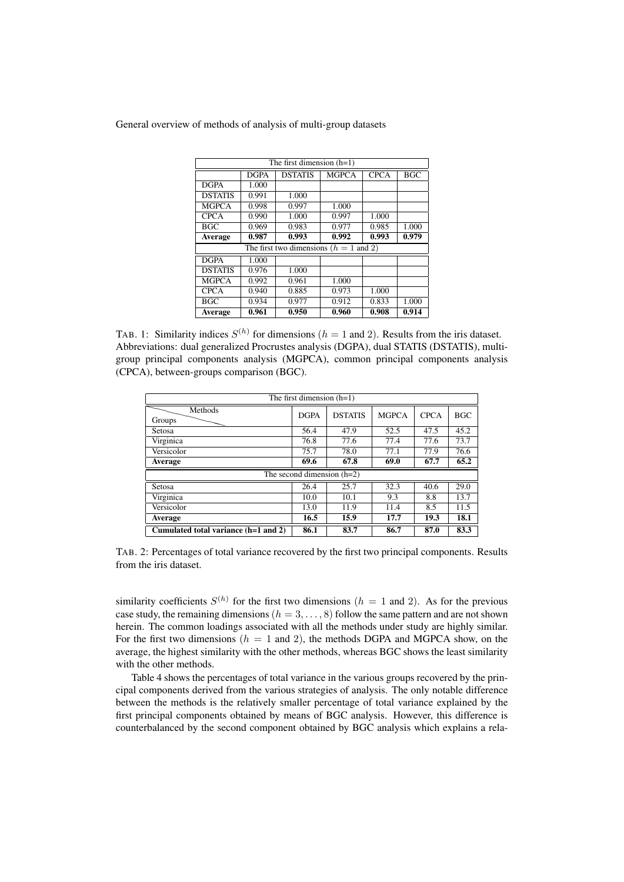| The first dimension $(h=1)$               |             |                |              |             |            |  |  |
|-------------------------------------------|-------------|----------------|--------------|-------------|------------|--|--|
|                                           | <b>DGPA</b> | <b>DSTATIS</b> | <b>MGPCA</b> | <b>CPCA</b> | <b>BGC</b> |  |  |
| <b>DGPA</b>                               | 1.000       |                |              |             |            |  |  |
| <b>DSTATIS</b>                            | 0.991       | 1.000          |              |             |            |  |  |
| <b>MGPCA</b>                              | 0.998       | 0.997          | 1.000        |             |            |  |  |
| <b>CPCA</b>                               | 0.990       | 1.000          | 0.997        | 1.000       |            |  |  |
| <b>BGC</b>                                | 0.969       | 0.983          | 0.977        | 0.985       | 1.000      |  |  |
| Average                                   | 0.987       | 0.993          | 0.992        | 0.993       | 0.979      |  |  |
| The first two dimensions ( $h = 1$ and 2) |             |                |              |             |            |  |  |
| <b>DGPA</b>                               | 1.000       |                |              |             |            |  |  |
| <b>DSTATIS</b>                            | 0.976       | 1.000          |              |             |            |  |  |
| <b>MGPCA</b>                              | 0.992       | 0.961          | 1.000        |             |            |  |  |
| <b>CPCA</b>                               | 0.940       | 0.885          | 0.973        | 1.000       |            |  |  |
| <b>BGC</b>                                | 0.934       | 0.977          | 0.912        | 0.833       | 1.000      |  |  |
| Average                                   | 0.961       | 0.950          | 0.960        | 0.908       | 0.914      |  |  |

TAB. 1: Similarity indices  $S^{(h)}$  for dimensions ( $h = 1$  and 2). Results from the iris dataset. Abbreviations: dual generalized Procrustes analysis (DGPA), dual STATIS (DSTATIS), multigroup principal components analysis (MGPCA), common principal components analysis (CPCA), between-groups comparison (BGC).

| The first dimension $(h=1)$          |             |                |              |             |            |  |  |  |
|--------------------------------------|-------------|----------------|--------------|-------------|------------|--|--|--|
| Methods<br>Groups                    | <b>DGPA</b> | <b>DSTATIS</b> | <b>MGPCA</b> | <b>CPCA</b> | <b>BGC</b> |  |  |  |
| Setosa                               | 56.4        | 47.9           | 52.5         | 47.5        | 45.2       |  |  |  |
| Virginica                            | 76.8        | 77.6           | 77.4         | 77.6        | 73.7       |  |  |  |
| Versicolor                           | 75.7        | 78.0           | 77.1         | 77.9        | 76.6       |  |  |  |
| Average                              | 69.6        | 67.8           | 69.0         | 67.7        | 65.2       |  |  |  |
| The second dimension $(h=2)$         |             |                |              |             |            |  |  |  |
| Setosa                               | 26.4        | 25.7           | 32.3         | 40.6        | 29.0       |  |  |  |
| Virginica                            | 10.0        | 10.1           | 9.3          | 8.8         | 13.7       |  |  |  |
| Versicolor                           | 13.0        | 11.9           | 11.4         | 8.5         | 11.5       |  |  |  |
| Average                              | 16.5        | 15.9           | 17.7         | 19.3        | 18.1       |  |  |  |
| Cumulated total variance (h=1 and 2) | 86.1        | 83.7           | 86.7         | 87.0        | 83.3       |  |  |  |

TAB. 2: Percentages of total variance recovered by the first two principal components. Results from the iris dataset.

similarity coefficients  $S^{(h)}$  for the first two dimensions  $(h = 1 \text{ and } 2)$ . As for the previous case study, the remaining dimensions  $(h = 3, \ldots, 8)$  follow the same pattern and are not shown herein. The common loadings associated with all the methods under study are highly similar. For the first two dimensions  $(h = 1 \text{ and } 2)$ , the methods DGPA and MGPCA show, on the average, the highest similarity with the other methods, whereas BGC shows the least similarity with the other methods.

Table 4 shows the percentages of total variance in the various groups recovered by the principal components derived from the various strategies of analysis. The only notable difference between the methods is the relatively smaller percentage of total variance explained by the first principal components obtained by means of BGC analysis. However, this difference is counterbalanced by the second component obtained by BGC analysis which explains a rela-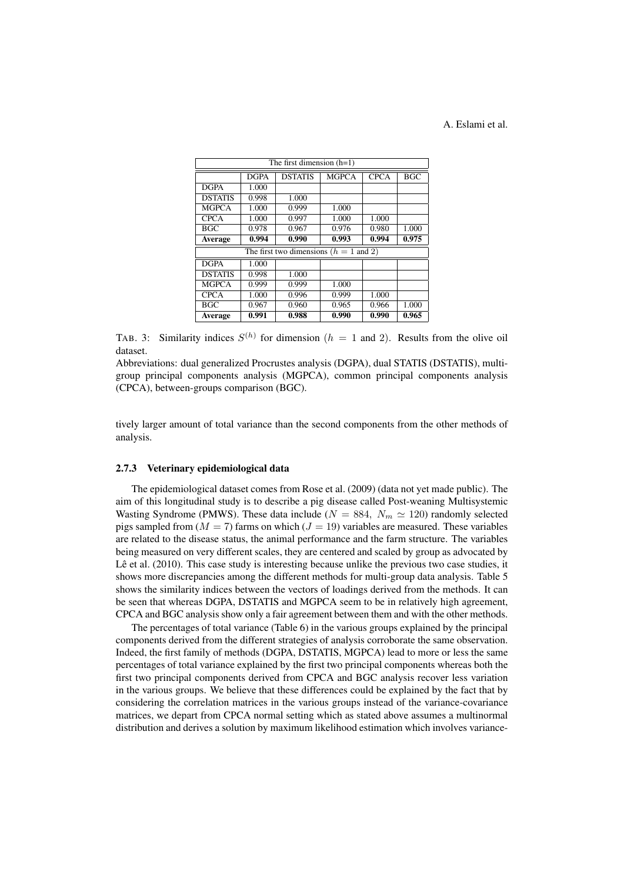## A. Eslami et al.

| The first dimension $(h=1)$ |                                          |                |              |              |            |  |  |
|-----------------------------|------------------------------------------|----------------|--------------|--------------|------------|--|--|
|                             | <b>DGPA</b>                              | <b>DSTATIS</b> | <b>MGPCA</b> | <b>CPCA</b>  | <b>BGC</b> |  |  |
| <b>DGPA</b>                 | 1.000                                    |                |              |              |            |  |  |
| <b>DSTATIS</b>              | 0.998                                    | 1.000          |              |              |            |  |  |
| <b>MGPCA</b>                | 1.000                                    | 0.999          | 1.000        |              |            |  |  |
| <b>CPCA</b>                 | 1.000                                    | 0.997          | 1.000        | <b>1.000</b> |            |  |  |
| <b>BGC</b>                  | 0.978                                    | 0.967          | 0.976        | 0.980        | 1.000      |  |  |
| <b>Average</b>              | 0.994                                    | 0.990          | 0.993        | 0.994        | 0.975      |  |  |
|                             | The first two dimensions $(h = 1$ and 2) |                |              |              |            |  |  |
| <b>DGPA</b>                 | 1.000                                    |                |              |              |            |  |  |
| <b>DSTATIS</b>              | 0.998                                    | 1.000          |              |              |            |  |  |
| <b>MGPCA</b>                | 0.999                                    | 0.999          | 1.000        |              |            |  |  |
| <b>CPCA</b>                 | 1.000                                    | 0.996          | 0.999        | 1.000        |            |  |  |
| <b>BGC</b>                  | 0.967                                    | 0.960          | 0.965        | 0.966        | 1.000      |  |  |
| Average                     | 0.991                                    | 0.988          | 0.990        | 0.990        | 0.965      |  |  |

TAB. 3: Similarity indices  $S^{(h)}$  for dimension  $(h = 1 \text{ and } 2)$ . Results from the olive oil dataset.

Abbreviations: dual generalized Procrustes analysis (DGPA), dual STATIS (DSTATIS), multigroup principal components analysis (MGPCA), common principal components analysis (CPCA), between-groups comparison (BGC).

tively larger amount of total variance than the second components from the other methods of analysis.

#### 2.7.3 Veterinary epidemiological data

The epidemiological dataset comes from Rose et al. (2009) (data not yet made public). The aim of this longitudinal study is to describe a pig disease called Post-weaning Multisystemic Wasting Syndrome (PMWS). These data include ( $N = 884$ ,  $N_m \approx 120$ ) randomly selected pigs sampled from ( $M = 7$ ) farms on which ( $J = 19$ ) variables are measured. These variables are related to the disease status, the animal performance and the farm structure. The variables being measured on very different scales, they are centered and scaled by group as advocated by Lê et al. (2010). This case study is interesting because unlike the previous two case studies, it shows more discrepancies among the different methods for multi-group data analysis. Table 5 shows the similarity indices between the vectors of loadings derived from the methods. It can be seen that whereas DGPA, DSTATIS and MGPCA seem to be in relatively high agreement, CPCA and BGC analysis show only a fair agreement between them and with the other methods.

The percentages of total variance (Table 6) in the various groups explained by the principal components derived from the different strategies of analysis corroborate the same observation. Indeed, the first family of methods (DGPA, DSTATIS, MGPCA) lead to more or less the same percentages of total variance explained by the first two principal components whereas both the first two principal components derived from CPCA and BGC analysis recover less variation in the various groups. We believe that these differences could be explained by the fact that by considering the correlation matrices in the various groups instead of the variance-covariance matrices, we depart from CPCA normal setting which as stated above assumes a multinormal distribution and derives a solution by maximum likelihood estimation which involves variance-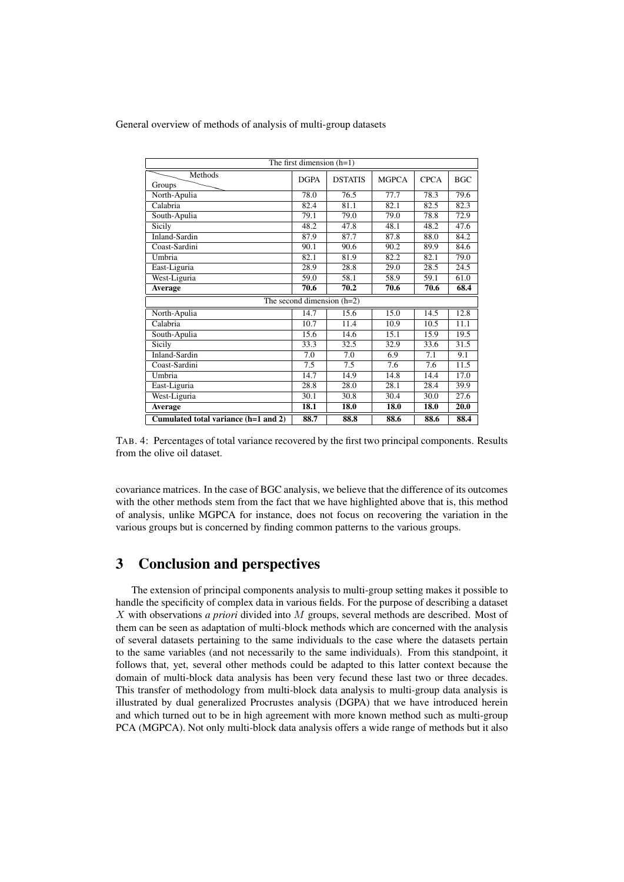| The first dimension $(h=1)$          |                              |                |              |             |            |  |  |  |
|--------------------------------------|------------------------------|----------------|--------------|-------------|------------|--|--|--|
| Methods<br>Groups                    | <b>DGPA</b>                  | <b>DSTATIS</b> | <b>MGPCA</b> | <b>CPCA</b> | <b>BGC</b> |  |  |  |
| North-Apulia                         | 78.0                         | 76.5           | 77.7         | 78.3        | 79.6       |  |  |  |
| Calabria                             | 82.4                         | 81.1           | 82.1         | 82.5        | 82.3       |  |  |  |
| South-Apulia                         | 79.1                         | 79.0           | 79.0         | 78.8        | 72.9       |  |  |  |
| Sicily                               | 48.2                         | 47.8           | 48.1         | 48.2        | 47.6       |  |  |  |
| <b>Inland-Sardin</b>                 | 87.9                         | 87.7           | 87.8         | 88.0        | 84.2       |  |  |  |
| Coast-Sardini                        | 90.1                         | 90.6           | 90.2         | 89.9        | 84.6       |  |  |  |
| Umbria                               | 82.1                         | 81.9           | 82.2         | 82.1        | 79.0       |  |  |  |
| East-Liguria                         | 28.9                         | 28.8           | 29.0         | 28.5        | 24.5       |  |  |  |
| West-Liguria                         | 59.0                         | 58.1           | 58.9         | 59.1        | 61.0       |  |  |  |
| Average                              | 70.6                         | 70.2           | 70.6         | 70.6        | 68.4       |  |  |  |
|                                      | The second dimension $(h=2)$ |                |              |             |            |  |  |  |
| North-Apulia                         | 14.7                         | 15.6           | 15.0         | 14.5        | 12.8       |  |  |  |
| Calabria                             | 10.7                         | 11.4           | 10.9         | 10.5        | 11.1       |  |  |  |
| South-Apulia                         | 15.6                         | 14.6           | 15.1         | 15.9        | 19.5       |  |  |  |
| Sicily                               | 33.3                         | 32.5           | 32.9         | 33.6        | 31.5       |  |  |  |
| <b>Inland-Sardin</b>                 | 7.0                          | 7.0            | 6.9          | 7.1         | 9.1        |  |  |  |
| Coast-Sardini                        | 7.5                          | 7.5            | 7.6          | 7.6         | 11.5       |  |  |  |
| Umbria                               | 14.7                         | 14.9           | 14.8         | 14.4        | 17.0       |  |  |  |
| East-Liguria                         | 28.8                         | 28.0           | 28.1         | 28.4        | 39.9       |  |  |  |
| West-Liguria                         | 30.1                         | 30.8           | 30.4         | 30.0        | 27.6       |  |  |  |
| Average                              | 18.1                         | <b>18.0</b>    | 18.0         | 18.0        | 20.0       |  |  |  |
| Cumulated total variance (h=1 and 2) | 88.7                         | 88.8           | 88.6         | 88.6        | 88.4       |  |  |  |

TAB. 4: Percentages of total variance recovered by the first two principal components. Results from the olive oil dataset.

covariance matrices. In the case of BGC analysis, we believe that the difference of its outcomes with the other methods stem from the fact that we have highlighted above that is, this method of analysis, unlike MGPCA for instance, does not focus on recovering the variation in the various groups but is concerned by finding common patterns to the various groups.

## 3 Conclusion and perspectives

The extension of principal components analysis to multi-group setting makes it possible to handle the specificity of complex data in various fields. For the purpose of describing a dataset X with observations *a priori* divided into M groups, several methods are described. Most of them can be seen as adaptation of multi-block methods which are concerned with the analysis of several datasets pertaining to the same individuals to the case where the datasets pertain to the same variables (and not necessarily to the same individuals). From this standpoint, it follows that, yet, several other methods could be adapted to this latter context because the domain of multi-block data analysis has been very fecund these last two or three decades. This transfer of methodology from multi-block data analysis to multi-group data analysis is illustrated by dual generalized Procrustes analysis (DGPA) that we have introduced herein and which turned out to be in high agreement with more known method such as multi-group PCA (MGPCA). Not only multi-block data analysis offers a wide range of methods but it also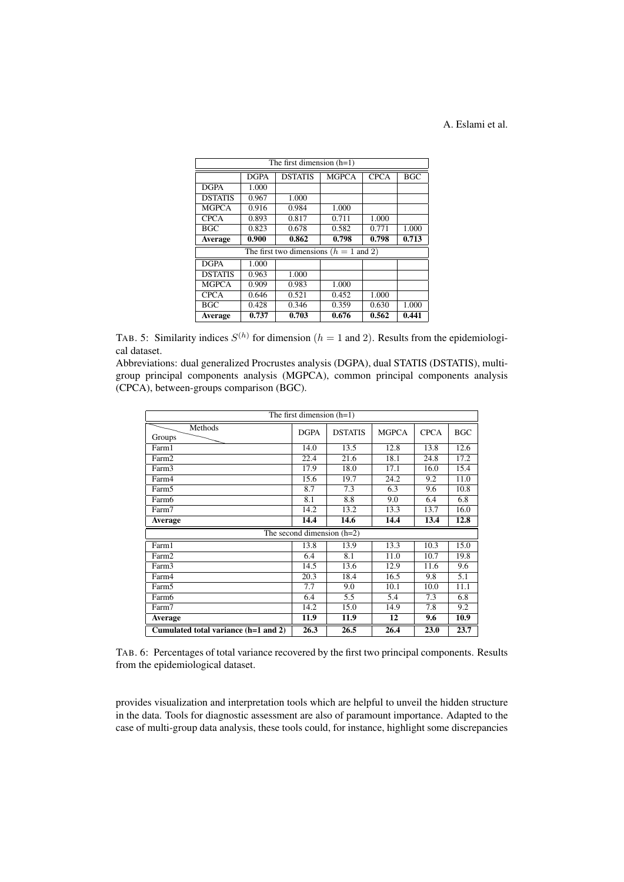## A. Eslami et al.

| The first dimension $(h=1)$ |                                          |                |              |             |            |  |  |
|-----------------------------|------------------------------------------|----------------|--------------|-------------|------------|--|--|
|                             | $\overline{D}$ GPA                       | <b>DSTATIS</b> | <b>MGPCA</b> | <b>CPCA</b> | <b>BGC</b> |  |  |
| <b>DGPA</b>                 | 1.000                                    |                |              |             |            |  |  |
| <b>DSTATIS</b>              | 0.967                                    | 1.000          |              |             |            |  |  |
| <b>MGPCA</b>                | 0.916                                    | 0.984          | 1.000        |             |            |  |  |
| <b>CPCA</b>                 | 0.893                                    | 0.817          | 0.711        | 1.000       |            |  |  |
| <b>BGC</b>                  | 0.823                                    | 0.678          | 0.582        | 0.771       | 1.000      |  |  |
| Average                     | 0.900                                    | 0.862          | 0.798        | 0.798       | 0.713      |  |  |
|                             | The first two dimensions $(h = 1$ and 2) |                |              |             |            |  |  |
| <b>DGPA</b><br>1.000        |                                          |                |              |             |            |  |  |
| <b>DSTATIS</b>              | 0.963                                    | 1.000          |              |             |            |  |  |
| <b>MGPCA</b>                | 0.909                                    | 0.983          | 1.000        |             |            |  |  |
| <b>CPCA</b>                 | 0.646                                    | 0.521          | 0.452        | 1.000       |            |  |  |
| <b>BGC</b>                  | 0.428                                    | 0.346          | 0.359        | 0.630       | 1.000      |  |  |
| Average                     | 0.737                                    | 0.703          | 0.676        | 0.562       | 0.441      |  |  |

TAB. 5: Similarity indices  $S^{(h)}$  for dimension ( $h = 1$  and 2). Results from the epidemiological dataset.

Abbreviations: dual generalized Procrustes analysis (DGPA), dual STATIS (DSTATIS), multigroup principal components analysis (MGPCA), common principal components analysis (CPCA), between-groups comparison (BGC).

| The first dimension $(h=1)$          |             |                |              |             |            |  |  |
|--------------------------------------|-------------|----------------|--------------|-------------|------------|--|--|
| Methods<br>Groups                    | <b>DGPA</b> | <b>DSTATIS</b> | <b>MGPCA</b> | <b>CPCA</b> | <b>BGC</b> |  |  |
| Farm1                                | 14.0        | 13.5           | 12.8         | 13.8        | 12.6       |  |  |
| Farm <sub>2</sub>                    | 22.4        | 21.6           | 18.1         | 24.8        | 17.2       |  |  |
| Farm3                                | 17.9        | 18.0           | 17.1         | 16.0        | 15.4       |  |  |
| Farm4                                | 15.6        | 19.7           | 24.2         | 9.2         | 11.0       |  |  |
| Farm <sub>5</sub>                    | 8.7         | 7.3            | 6.3          | 9.6         | 10.8       |  |  |
| Farm6                                | 8.1         | 8.8            | 9.0          | 6.4         | 6.8        |  |  |
| Farm7                                | 14.2        | 13.2           | 13.3         | 13.7        | 16.0       |  |  |
| Average                              | 14.4        | 14.6           | 14.4         | 13.4        | 12.8       |  |  |
| The second dimension $(h=2)$         |             |                |              |             |            |  |  |
| Farm1                                | 13.8        | 13.9           | 13.3         | 10.3        | 15.0       |  |  |
| Farm <sub>2</sub>                    | 6.4         | 8.1            | 11.0         | 10.7        | 19.8       |  |  |
| Farm3                                | 14.5        | 13.6           | 12.9         | 11.6        | 9.6        |  |  |
| Farm4                                | 20.3        | 18.4           | 16.5         | 9.8         | 5.1        |  |  |
| Farm <sub>5</sub>                    | 7.7         | 9.0            | 10.1         | 10.0        | 11.1       |  |  |
| Farm6                                | 6.4         | 5.5            | 5.4          | 7.3         | 6.8        |  |  |
| Farm7                                | 14.2        | 15.0           | 14.9         | 7.8         | 9.2        |  |  |
| Average                              | 11.9        | 11.9           | 12           | 9.6         | 10.9       |  |  |
| Cumulated total variance (h=1 and 2) | 26.3        | 26.5           | 26.4         | 23.0        | 23.7       |  |  |

TAB. 6: Percentages of total variance recovered by the first two principal components. Results from the epidemiological dataset.

provides visualization and interpretation tools which are helpful to unveil the hidden structure in the data. Tools for diagnostic assessment are also of paramount importance. Adapted to the case of multi-group data analysis, these tools could, for instance, highlight some discrepancies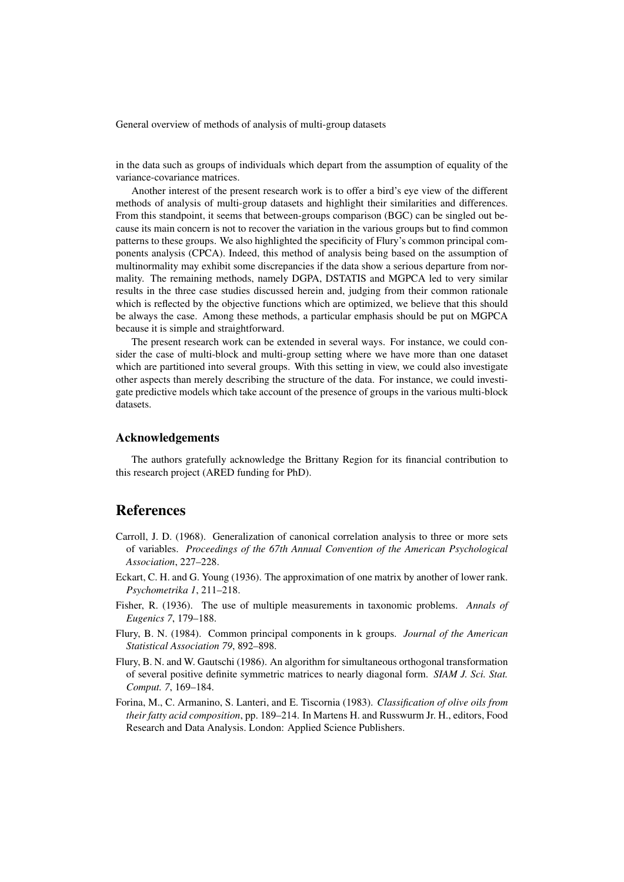in the data such as groups of individuals which depart from the assumption of equality of the variance-covariance matrices.

Another interest of the present research work is to offer a bird's eye view of the different methods of analysis of multi-group datasets and highlight their similarities and differences. From this standpoint, it seems that between-groups comparison (BGC) can be singled out because its main concern is not to recover the variation in the various groups but to find common patterns to these groups. We also highlighted the specificity of Flury's common principal components analysis (CPCA). Indeed, this method of analysis being based on the assumption of multinormality may exhibit some discrepancies if the data show a serious departure from normality. The remaining methods, namely DGPA, DSTATIS and MGPCA led to very similar results in the three case studies discussed herein and, judging from their common rationale which is reflected by the objective functions which are optimized, we believe that this should be always the case. Among these methods, a particular emphasis should be put on MGPCA because it is simple and straightforward.

The present research work can be extended in several ways. For instance, we could consider the case of multi-block and multi-group setting where we have more than one dataset which are partitioned into several groups. With this setting in view, we could also investigate other aspects than merely describing the structure of the data. For instance, we could investigate predictive models which take account of the presence of groups in the various multi-block datasets.

## Acknowledgements

The authors gratefully acknowledge the Brittany Region for its financial contribution to this research project (ARED funding for PhD).

## References

- Carroll, J. D. (1968). Generalization of canonical correlation analysis to three or more sets of variables. *Proceedings of the 67th Annual Convention of the American Psychological Association*, 227–228.
- Eckart, C. H. and G. Young (1936). The approximation of one matrix by another of lower rank. *Psychometrika 1*, 211–218.
- Fisher, R. (1936). The use of multiple measurements in taxonomic problems. *Annals of Eugenics 7*, 179–188.
- Flury, B. N. (1984). Common principal components in k groups. *Journal of the American Statistical Association 79*, 892–898.
- Flury, B. N. and W. Gautschi (1986). An algorithm for simultaneous orthogonal transformation of several positive definite symmetric matrices to nearly diagonal form. *SIAM J. Sci. Stat. Comput. 7*, 169–184.
- Forina, M., C. Armanino, S. Lanteri, and E. Tiscornia (1983). *Classification of olive oils from their fatty acid composition*, pp. 189–214. In Martens H. and Russwurm Jr. H., editors, Food Research and Data Analysis. London: Applied Science Publishers.